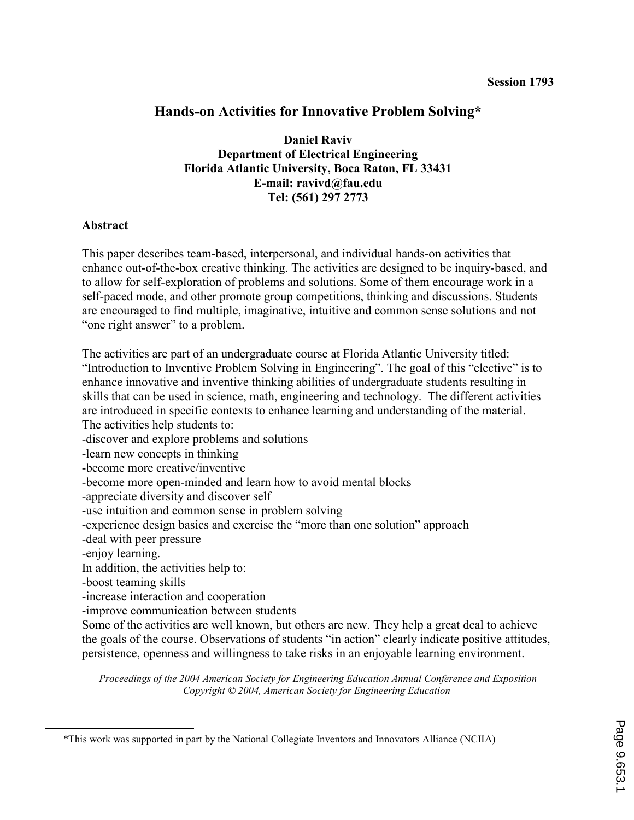# Hands-on Activities for Innovative Problem Solving\*

Daniel Raviv Department of Electrical Engineering Florida Atlantic University, Boca Raton, FL 33431 E-mail: ravivd@fau.edu Tel: (561) 297 2773

#### Abstract

This paper describes team-based, interpersonal, and individual hands-on activities that enhance out-of-the-box creative thinking. The activities are designed to be inquiry-based, and to allow for self-exploration of problems and solutions. Some of them encourage work in a self-paced mode, and other promote group competitions, thinking and discussions. Students are encouraged to find multiple, imaginative, intuitive and common sense solutions and not "one right answer" to a problem.

The activities are part of an undergraduate course at Florida Atlantic University titled: "Introduction to Inventive Problem Solving in Engineering". The goal of this "elective" is to enhance innovative and inventive thinking abilities of undergraduate students resulting in skills that can be used in science, math, engineering and technology. The different activities are introduced in specific contexts to enhance learning and understanding of the material. The activities help students to:

-discover and explore problems and solutions

-learn new concepts in thinking

-become more creative/inventive

-become more open-minded and learn how to avoid mental blocks

-appreciate diversity and discover self

-use intuition and common sense in problem solving

-experience design basics and exercise the "more than one solution" approach

-deal with peer pressure

-enjoy learning.

 $\overline{a}$ 

In addition, the activities help to:

-boost teaming skills

-increase interaction and cooperation

-improve communication between students

Some of the activities are well known, but others are new. They help a great deal to achieve the goals of the course. Observations of students "in action" clearly indicate positive attitudes, persistence, openness and willingness to take risks in an enjoyable learning environment.

<sup>\*</sup>This work was supported in part by the National Collegiate Inventors and Innovators Alliance (NCIIA)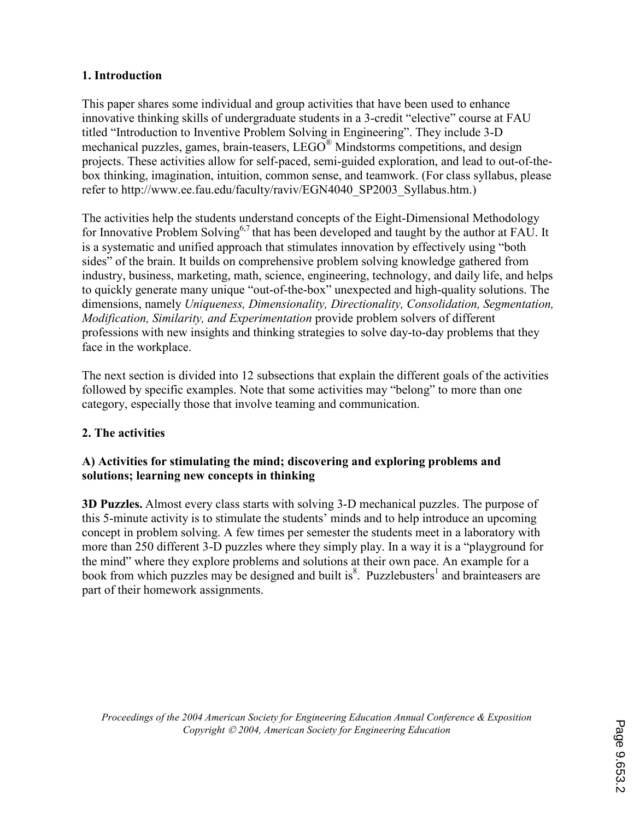### 1. Introduction

This paper shares some individual and group activities that have been used to enhance innovative thinking skills of undergraduate students in a 3-credit "elective" course at FAU titled "Introduction to Inventive Problem Solving in Engineering". They include 3-D mechanical puzzles, games, brain-teasers, LEGO<sup>®</sup> Mindstorms competitions, and design projects. These activities allow for self-paced, semi-guided exploration, and lead to out-of-thebox thinking, imagination, intuition, common sense, and teamwork. (For class syllabus, please refer to http://www.ee.fau.edu/faculty/raviv/EGN4040\_SP2003\_Syllabus.htm.)

The activities help the students understand concepts of the Eight-Dimensional Methodology for Innovative Problem Solving<sup>6,7</sup> that has been developed and taught by the author at FAU. It is a systematic and unified approach that stimulates innovation by effectively using "both sides" of the brain. It builds on comprehensive problem solving knowledge gathered from industry, business, marketing, math, science, engineering, technology, and daily life, and helps to quickly generate many unique "out-of-the-box" unexpected and high-quality solutions. The dimensions, namely Uniqueness, Dimensionality, Directionality, Consolidation, Segmentation, Modification, Similarity, and Experimentation provide problem solvers of different professions with new insights and thinking strategies to solve day-to-day problems that they face in the workplace.

The next section is divided into 12 subsections that explain the different goals of the activities followed by specific examples. Note that some activities may "belong" to more than one category, especially those that involve teaming and communication.

## 2. The activities

### A) Activities for stimulating the mind; discovering and exploring problems and solutions; learning new concepts in thinking

3D Puzzles. Almost every class starts with solving 3-D mechanical puzzles. The purpose of this 5-minute activity is to stimulate the students' minds and to help introduce an upcoming concept in problem solving. A few times per semester the students meet in a laboratory with more than 250 different 3-D puzzles where they simply play. In a way it is a "playground for the mind" where they explore problems and solutions at their own pace. An example for a book from which puzzles may be designed and built is $^{8}$ . Puzzlebusters<sup>1</sup> and brainteasers are part of their homework assignments.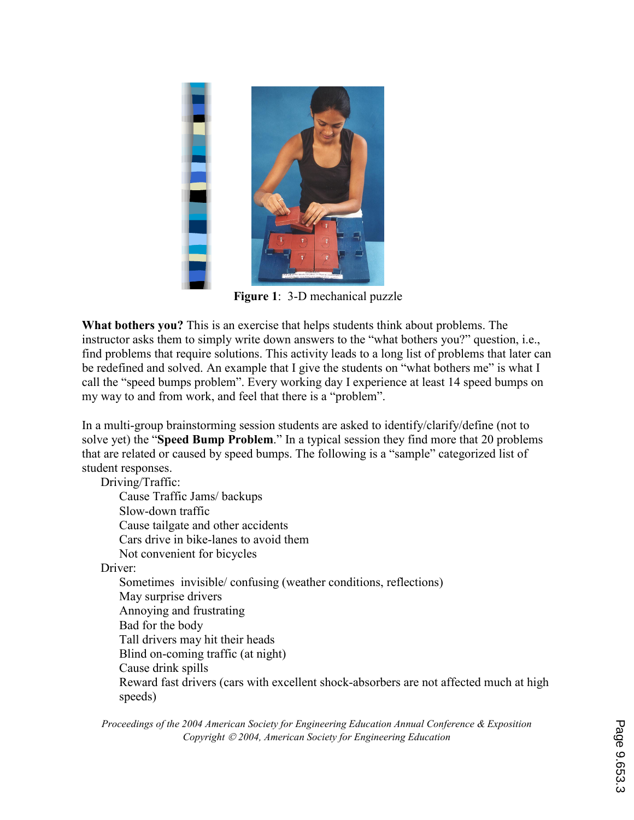

Figure 1: 3-D mechanical puzzle

What bothers you? This is an exercise that helps students think about problems. The instructor asks them to simply write down answers to the "what bothers you?" question, i.e., find problems that require solutions. This activity leads to a long list of problems that later can be redefined and solved. An example that I give the students on "what bothers me" is what I call the "speed bumps problem". Every working day I experience at least 14 speed bumps on my way to and from work, and feel that there is a "problem".

In a multi-group brainstorming session students are asked to identify/clarify/define (not to solve yet) the "**Speed Bump Problem**." In a typical session they find more that 20 problems that are related or caused by speed bumps. The following is a "sample" categorized list of student responses.

Driving/Traffic:

Cause Traffic Jams/ backups Slow-down traffic Cause tailgate and other accidents Cars drive in bike-lanes to avoid them

Not convenient for bicycles

Driver:

Sometimes invisible/ confusing (weather conditions, reflections) May surprise drivers Annoying and frustrating Bad for the body Tall drivers may hit their heads Blind on-coming traffic (at night) Cause drink spills Reward fast drivers (cars with excellent shock-absorbers are not affected much at high speeds)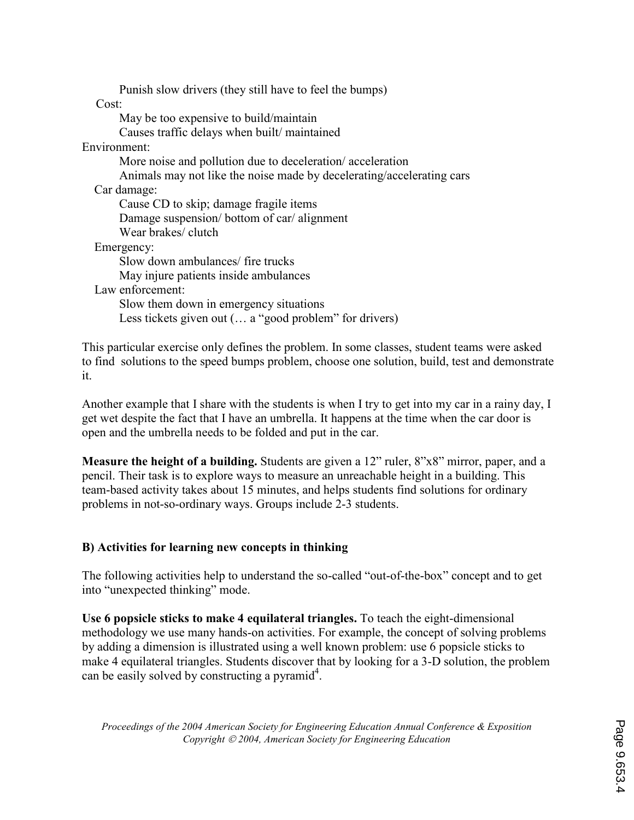Punish slow drivers (they still have to feel the bumps) Cost: May be too expensive to build/maintain Causes traffic delays when built/ maintained Environment: More noise and pollution due to deceleration/ acceleration Animals may not like the noise made by decelerating/accelerating cars Car damage: Cause CD to skip; damage fragile items Damage suspension/ bottom of car/ alignment Wear brakes/ clutch Emergency: Slow down ambulances/ fire trucks May injure patients inside ambulances Law enforcement: Slow them down in emergency situations Less tickets given out (... a "good problem" for drivers)

This particular exercise only defines the problem. In some classes, student teams were asked to find solutions to the speed bumps problem, choose one solution, build, test and demonstrate it.

Another example that I share with the students is when I try to get into my car in a rainy day, I get wet despite the fact that I have an umbrella. It happens at the time when the car door is open and the umbrella needs to be folded and put in the car.

Measure the height of a building. Students are given a 12" ruler, 8"x8" mirror, paper, and a pencil. Their task is to explore ways to measure an unreachable height in a building. This team-based activity takes about 15 minutes, and helps students find solutions for ordinary problems in not-so-ordinary ways. Groups include 2-3 students.

### B) Activities for learning new concepts in thinking

The following activities help to understand the so-called "out-of-the-box" concept and to get into "unexpected thinking" mode.

Use 6 popsicle sticks to make 4 equilateral triangles. To teach the eight-dimensional methodology we use many hands-on activities. For example, the concept of solving problems by adding a dimension is illustrated using a well known problem: use 6 popsicle sticks to make 4 equilateral triangles. Students discover that by looking for a 3-D solution, the problem can be easily solved by constructing a pyramid<sup>4</sup>.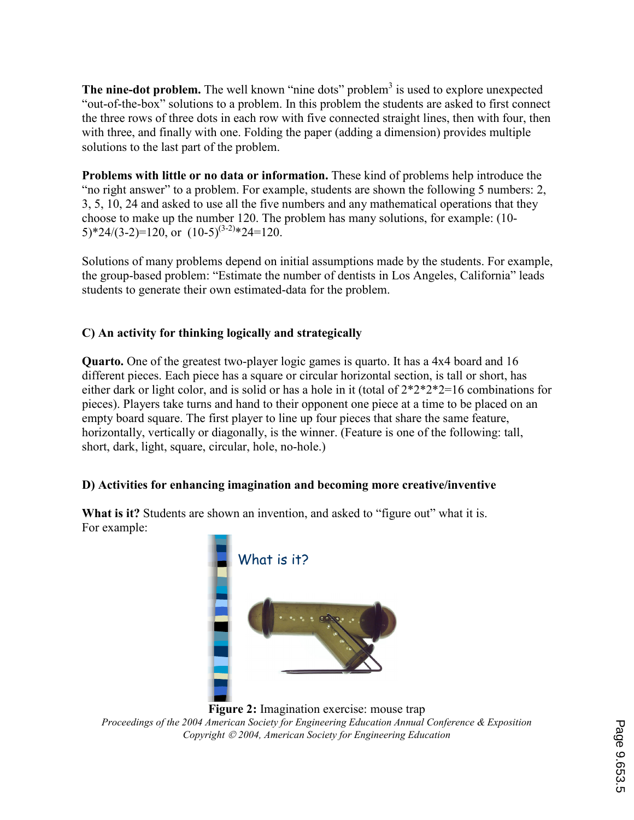The nine-dot problem. The well known "nine dots" problem $3$  is used to explore unexpected "out-of-the-box" solutions to a problem. In this problem the students are asked to first connect the three rows of three dots in each row with five connected straight lines, then with four, then with three, and finally with one. Folding the paper (adding a dimension) provides multiple solutions to the last part of the problem.

Problems with little or no data or information. These kind of problems help introduce the "no right answer" to a problem. For example, students are shown the following 5 numbers: 2, 3, 5, 10, 24 and asked to use all the five numbers and any mathematical operations that they choose to make up the number 120. The problem has many solutions, for example: (10-  $(5)*24/(3-2)=120$ , or  $(10-5)^{(3-2)}*24=120$ .

Solutions of many problems depend on initial assumptions made by the students. For example, the group-based problem: "Estimate the number of dentists in Los Angeles, California" leads students to generate their own estimated-data for the problem.

# C) An activity for thinking logically and strategically

Quarto. One of the greatest two-player logic games is quarto. It has a 4x4 board and 16 different pieces. Each piece has a square or circular horizontal section, is tall or short, has either dark or light color, and is solid or has a hole in it (total of 2\*2\*2\*2=16 combinations for pieces). Players take turns and hand to their opponent one piece at a time to be placed on an empty board square. The first player to line up four pieces that share the same feature, horizontally, vertically or diagonally, is the winner. (Feature is one of the following: tall, short, dark, light, square, circular, hole, no-hole.)

## D) Activities for enhancing imagination and becoming more creative/inventive

What is it? Students are shown an invention, and asked to "figure out" what it is. For example:



Figure 2: Imagination exercise: mouse trap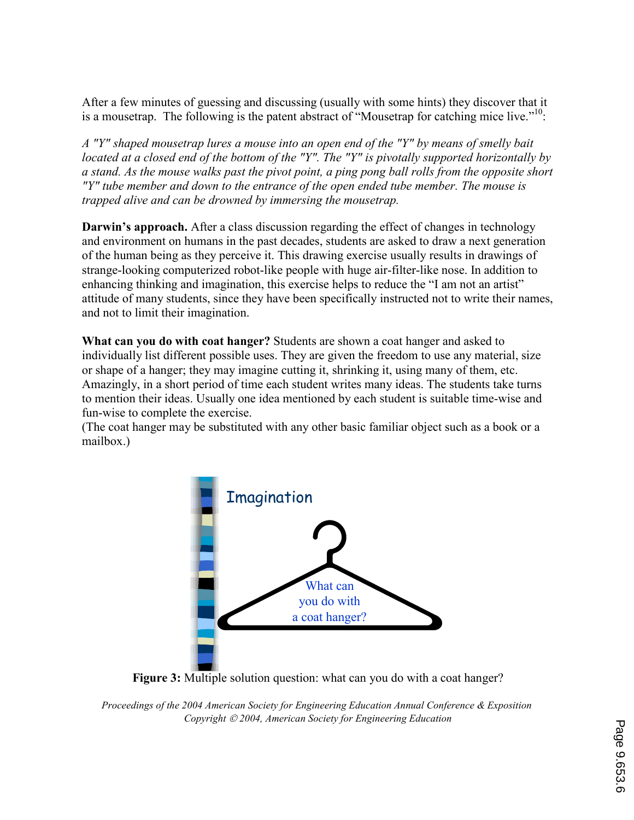After a few minutes of guessing and discussing (usually with some hints) they discover that it is a mousetrap. The following is the patent abstract of "Mousetrap for catching mice live."<sup>10</sup>:

A "Y" shaped mousetrap lures a mouse into an open end of the "Y" by means of smelly bait located at a closed end of the bottom of the "Y". The "Y" is pivotally supported horizontally by a stand. As the mouse walks past the pivot point, a ping pong ball rolls from the opposite short "Y" tube member and down to the entrance of the open ended tube member. The mouse is trapped alive and can be drowned by immersing the mousetrap.

Darwin's approach. After a class discussion regarding the effect of changes in technology and environment on humans in the past decades, students are asked to draw a next generation of the human being as they perceive it. This drawing exercise usually results in drawings of strange-looking computerized robot-like people with huge air-filter-like nose. In addition to enhancing thinking and imagination, this exercise helps to reduce the "I am not an artist" attitude of many students, since they have been specifically instructed not to write their names, and not to limit their imagination.

What can you do with coat hanger? Students are shown a coat hanger and asked to individually list different possible uses. They are given the freedom to use any material, size or shape of a hanger; they may imagine cutting it, shrinking it, using many of them, etc. Amazingly, in a short period of time each student writes many ideas. The students take turns to mention their ideas. Usually one idea mentioned by each student is suitable time-wise and fun-wise to complete the exercise.

(The coat hanger may be substituted with any other basic familiar object such as a book or a mailbox.)



Figure 3: Multiple solution question: what can you do with a coat hanger?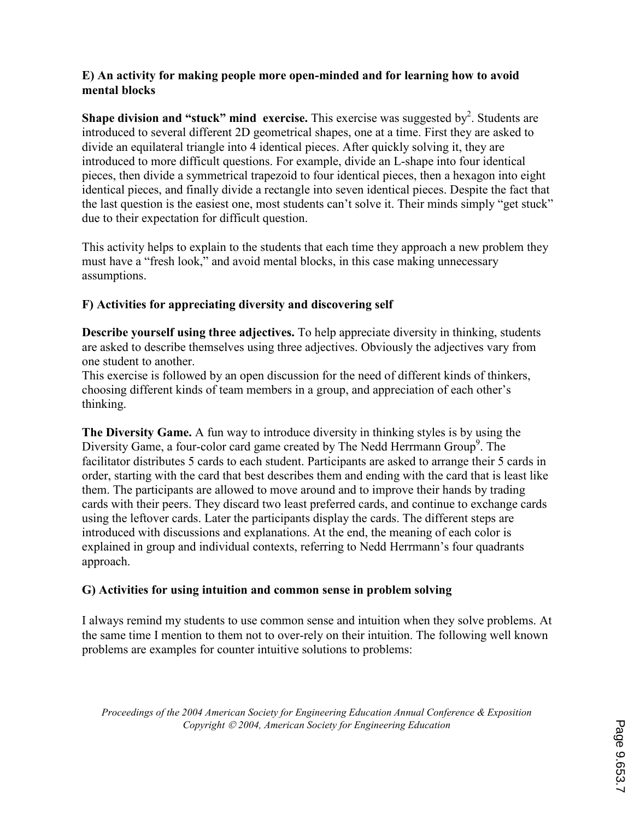#### E) An activity for making people more open-minded and for learning how to avoid mental blocks

**Shape division and "stuck" mind exercise.** This exercise was suggested by<sup>2</sup>. Students are introduced to several different 2D geometrical shapes, one at a time. First they are asked to divide an equilateral triangle into 4 identical pieces. After quickly solving it, they are introduced to more difficult questions. For example, divide an L-shape into four identical pieces, then divide a symmetrical trapezoid to four identical pieces, then a hexagon into eight identical pieces, and finally divide a rectangle into seven identical pieces. Despite the fact that the last question is the easiest one, most students can't solve it. Their minds simply "get stuck" due to their expectation for difficult question.

This activity helps to explain to the students that each time they approach a new problem they must have a "fresh look," and avoid mental blocks, in this case making unnecessary assumptions.

## F) Activities for appreciating diversity and discovering self

Describe yourself using three adjectives. To help appreciate diversity in thinking, students are asked to describe themselves using three adjectives. Obviously the adjectives vary from one student to another.

This exercise is followed by an open discussion for the need of different kinds of thinkers, choosing different kinds of team members in a group, and appreciation of each other's thinking.

The Diversity Game. A fun way to introduce diversity in thinking styles is by using the Diversity Game, a four-color card game created by The Nedd Herrmann Group<sup>9</sup>. The facilitator distributes 5 cards to each student. Participants are asked to arrange their 5 cards in order, starting with the card that best describes them and ending with the card that is least like them. The participants are allowed to move around and to improve their hands by trading cards with their peers. They discard two least preferred cards, and continue to exchange cards using the leftover cards. Later the participants display the cards. The different steps are introduced with discussions and explanations. At the end, the meaning of each color is explained in group and individual contexts, referring to Nedd Herrmann's four quadrants approach.

### G) Activities for using intuition and common sense in problem solving

I always remind my students to use common sense and intuition when they solve problems. At the same time I mention to them not to over-rely on their intuition. The following well known problems are examples for counter intuitive solutions to problems: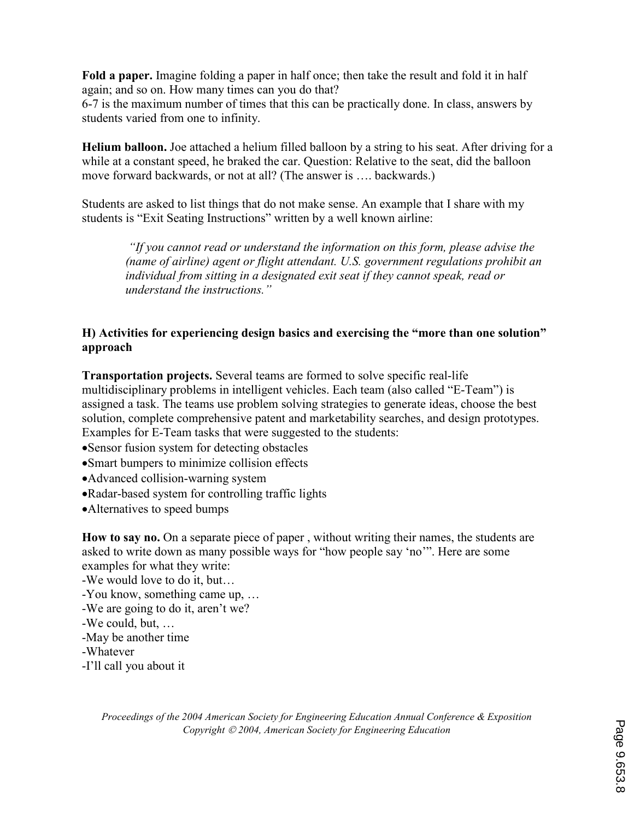Fold a paper. Imagine folding a paper in half once; then take the result and fold it in half again; and so on. How many times can you do that?

6-7 is the maximum number of times that this can be practically done. In class, answers by students varied from one to infinity.

Helium balloon. Joe attached a helium filled balloon by a string to his seat. After driving for a while at a constant speed, he braked the car. Question: Relative to the seat, did the balloon move forward backwards, or not at all? (The answer is …. backwards.)

Students are asked to list things that do not make sense. An example that I share with my students is "Exit Seating Instructions" written by a well known airline:

 "If you cannot read or understand the information on this form, please advise the (name of airline) agent or flight attendant. U.S. government regulations prohibit an individual from sitting in a designated exit seat if they cannot speak, read or understand the instructions."

### H) Activities for experiencing design basics and exercising the "more than one solution" approach

Transportation projects. Several teams are formed to solve specific real-life multidisciplinary problems in intelligent vehicles. Each team (also called "E-Team") is assigned a task. The teams use problem solving strategies to generate ideas, choose the best solution, complete comprehensive patent and marketability searches, and design prototypes. Examples for E-Team tasks that were suggested to the students:

•Sensor fusion system for detecting obstacles

•Smart bumpers to minimize collision effects

•Advanced collision-warning system

- •Radar-based system for controlling traffic lights
- •Alternatives to speed bumps

How to say no. On a separate piece of paper , without writing their names, the students are asked to write down as many possible ways for "how people say 'no'". Here are some examples for what they write:

-We would love to do it, but…

-You know, something came up, …

-We are going to do it, aren't we?

- -We could, but, …
- -May be another time

-Whatever

-I'll call you about it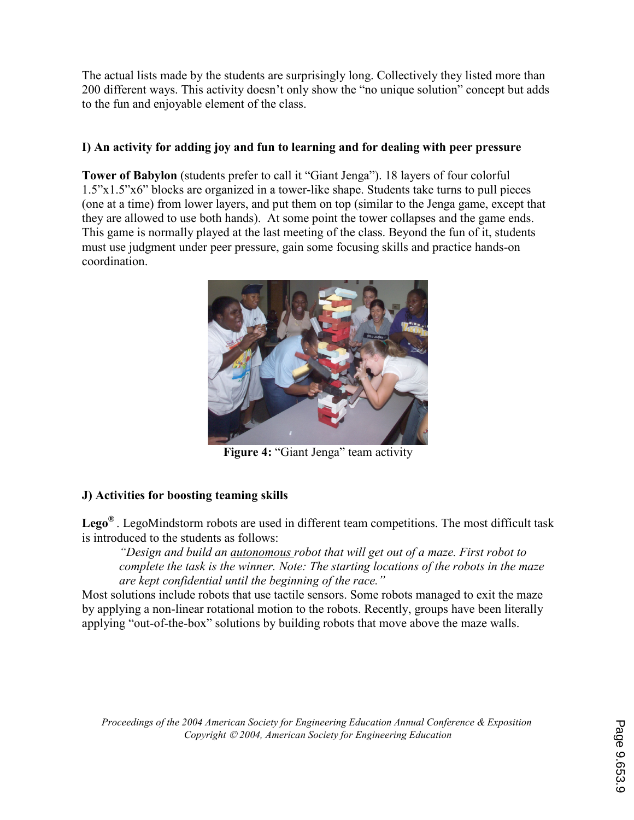The actual lists made by the students are surprisingly long. Collectively they listed more than 200 different ways. This activity doesn't only show the "no unique solution" concept but adds to the fun and enjoyable element of the class.

### I) An activity for adding joy and fun to learning and for dealing with peer pressure

Tower of Babylon (students prefer to call it "Giant Jenga"). 18 layers of four colorful 1.5"x1.5"x6" blocks are organized in a tower-like shape. Students take turns to pull pieces (one at a time) from lower layers, and put them on top (similar to the Jenga game, except that they are allowed to use both hands). At some point the tower collapses and the game ends. This game is normally played at the last meeting of the class. Beyond the fun of it, students must use judgment under peer pressure, gain some focusing skills and practice hands-on coordination.



Figure 4: "Giant Jenga" team activity

## J) Activities for boosting teaming skills

**Lego**<sup> $\circledast$ </sup>. LegoMindstorm robots are used in different team competitions. The most difficult task is introduced to the students as follows:

"Design and build an autonomous robot that will get out of a maze. First robot to complete the task is the winner. Note: The starting locations of the robots in the maze are kept confidential until the beginning of the race."

Most solutions include robots that use tactile sensors. Some robots managed to exit the maze by applying a non-linear rotational motion to the robots. Recently, groups have been literally applying "out-of-the-box" solutions by building robots that move above the maze walls.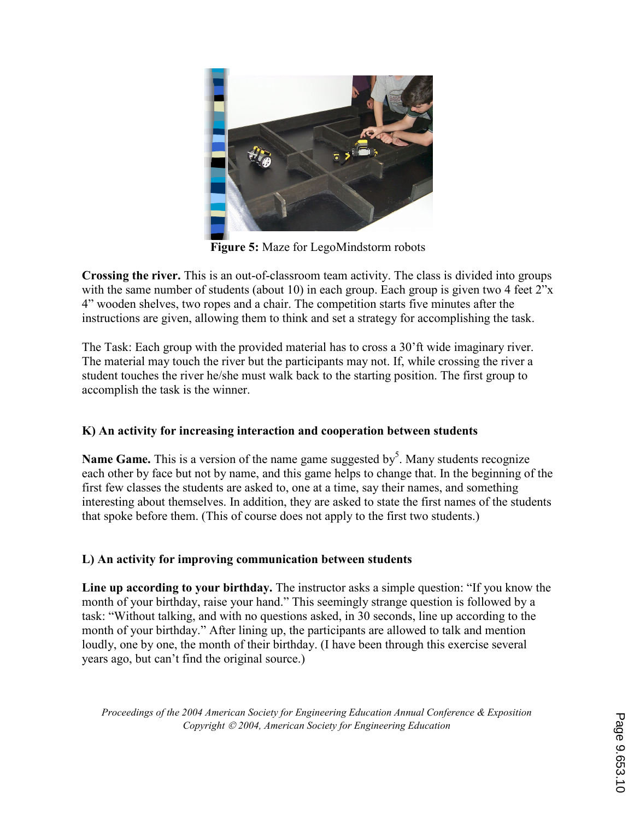

Figure 5: Maze for LegoMindstorm robots

Crossing the river. This is an out-of-classroom team activity. The class is divided into groups with the same number of students (about 10) in each group. Each group is given two 4 feet 2"x 4" wooden shelves, two ropes and a chair. The competition starts five minutes after the instructions are given, allowing them to think and set a strategy for accomplishing the task.

The Task: Each group with the provided material has to cross a 30'ft wide imaginary river. The material may touch the river but the participants may not. If, while crossing the river a student touches the river he/she must walk back to the starting position. The first group to accomplish the task is the winner.

## K) An activity for increasing interaction and cooperation between students

**Name Game.** This is a version of the name game suggested by<sup>5</sup>. Many students recognize each other by face but not by name, and this game helps to change that. In the beginning of the first few classes the students are asked to, one at a time, say their names, and something interesting about themselves. In addition, they are asked to state the first names of the students that spoke before them. (This of course does not apply to the first two students.)

### L) An activity for improving communication between students

Line up according to your birthday. The instructor asks a simple question: "If you know the month of your birthday, raise your hand." This seemingly strange question is followed by a task: "Without talking, and with no questions asked, in 30 seconds, line up according to the month of your birthday." After lining up, the participants are allowed to talk and mention loudly, one by one, the month of their birthday. (I have been through this exercise several years ago, but can't find the original source.)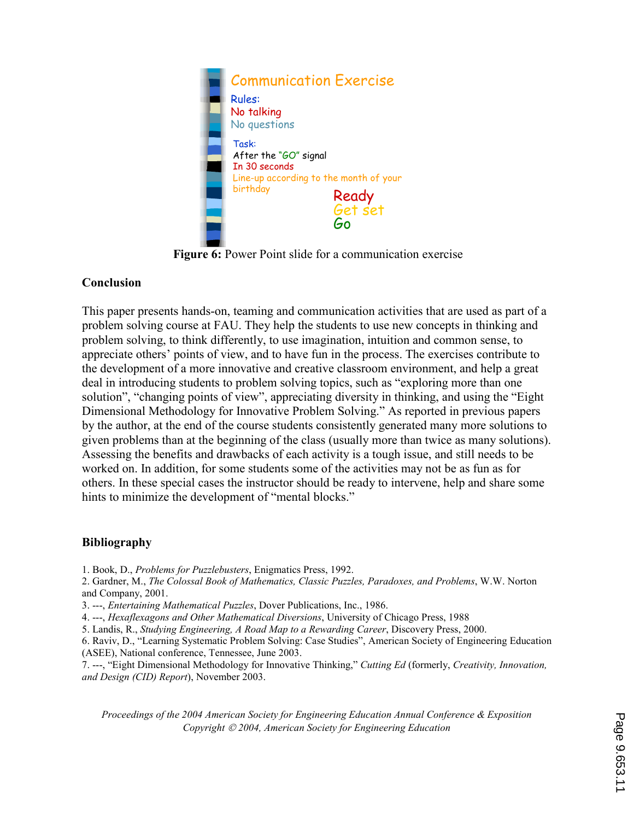

Figure 6: Power Point slide for a communication exercise

### Conclusion

This paper presents hands-on, teaming and communication activities that are used as part of a problem solving course at FAU. They help the students to use new concepts in thinking and problem solving, to think differently, to use imagination, intuition and common sense, to appreciate others' points of view, and to have fun in the process. The exercises contribute to the development of a more innovative and creative classroom environment, and help a great deal in introducing students to problem solving topics, such as "exploring more than one solution", "changing points of view", appreciating diversity in thinking, and using the "Eight Dimensional Methodology for Innovative Problem Solving." As reported in previous papers by the author, at the end of the course students consistently generated many more solutions to given problems than at the beginning of the class (usually more than twice as many solutions). Assessing the benefits and drawbacks of each activity is a tough issue, and still needs to be worked on. In addition, for some students some of the activities may not be as fun as for others. In these special cases the instructor should be ready to intervene, help and share some hints to minimize the development of "mental blocks."

### Bibliography

- 1. Book, D., Problems for Puzzlebusters, Enigmatics Press, 1992.
- 2. Gardner, M., The Colossal Book of Mathematics, Classic Puzzles, Paradoxes, and Problems, W.W. Norton and Company, 2001.
- 3. ---, Entertaining Mathematical Puzzles, Dover Publications, Inc., 1986.
- 4. ---, Hexaflexagons and Other Mathematical Diversions, University of Chicago Press, 1988
- 5. Landis, R., Studying Engineering, A Road Map to a Rewarding Career, Discovery Press, 2000.
- 6. Raviv, D., "Learning Systematic Problem Solving: Case Studies", American Society of Engineering Education (ASEE), National conference, Tennessee, June 2003.

7. ---, "Eight Dimensional Methodology for Innovative Thinking," Cutting Ed (formerly, Creativity, Innovation, and Design (CID) Report), November 2003.